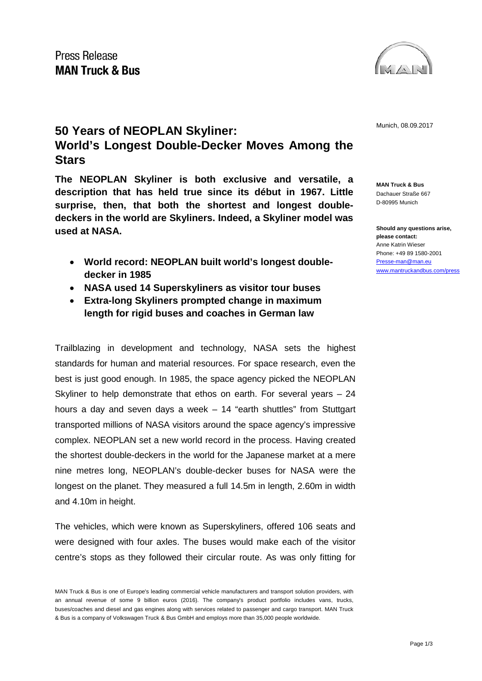

## **50 Years of NEOPLAN Skyliner: 1998 Munich, 08.09.2017** Munich, 08.09.2017 **World's Longest Double-Decker Moves Among the Stars**

**The NEOPLAN Skyliner is both exclusive and versatile, a description that has held true since its début in 1967. Little surprise, then, that both the shortest and longest doubledeckers in the world are Skyliners. Indeed, a Skyliner model was used at NASA.** 

- **World record: NEOPLAN built world's longest doubledecker in 1985**
- **NASA used 14 Superskyliners as visitor tour buses**
- **Extra-long Skyliners prompted change in maximum length for rigid buses and coaches in German law**

Trailblazing in development and technology, NASA sets the highest standards for human and material resources. For space research, even the best is just good enough. In 1985, the space agency picked the NEOPLAN Skyliner to help demonstrate that ethos on earth. For several years – 24 hours a day and seven days a week – 14 "earth shuttles" from Stuttgart transported millions of NASA visitors around the space agency's impressive complex. NEOPLAN set a new world record in the process. Having created the shortest double-deckers in the world for the Japanese market at a mere nine metres long, NEOPLAN's double-decker buses for NASA were the longest on the planet. They measured a full 14.5m in length, 2.60m in width and 4.10m in height.

The vehicles, which were known as Superskyliners, offered 106 seats and were designed with four axles. The buses would make each of the visitor centre's stops as they followed their circular route. As was only fitting for **MAN Truck & Bus** Dachauer Straße 667 D-80995 Munich

**Should any questions arise, please contact:** Anne Katrin Wieser Phone: +49 89 1580-2001 [Presse-man@man.eu](mailto:Presse-man@man.eu) [www.mantruckandbus.com/press](http://www.mantruckandbus.com/press)

MAN Truck & Bus is one of Europe's leading commercial vehicle manufacturers and transport solution providers, with an annual revenue of some 9 billion euros (2016). The company's product portfolio includes vans, trucks, buses/coaches and diesel and gas engines along with services related to passenger and cargo transport. MAN Truck & Bus is a company of Volkswagen Truck & Bus GmbH and employs more than 35,000 people worldwide.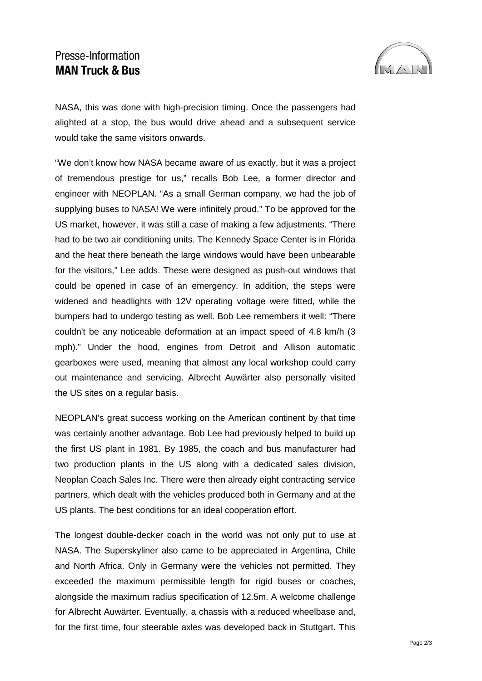## Presse-Information **MAN Truck & Bus**



NASA, this was done with high-precision timing. Once the passengers had alighted at a stop, the bus would drive ahead and a subsequent service would take the same visitors onwards.

"We don't know how NASA became aware of us exactly, but it was a project of tremendous prestige for us," recalls Bob Lee, a former director and engineer with NEOPLAN. "As a small German company, we had the job of supplying buses to NASA! We were infinitely proud." To be approved for the US market, however, it was still a case of making a few adjustments. "There had to be two air conditioning units. The Kennedy Space Center is in Florida and the heat there beneath the large windows would have been unbearable for the visitors," Lee adds. These were designed as push-out windows that could be opened in case of an emergency. In addition, the steps were widened and headlights with 12V operating voltage were fitted, while the bumpers had to undergo testing as well. Bob Lee remembers it well: "There couldn't be any noticeable deformation at an impact speed of 4.8 km/h (3 mph)." Under the hood, engines from Detroit and Allison automatic gearboxes were used, meaning that almost any local workshop could carry out maintenance and servicing. Albrecht Auwärter also personally visited the US sites on a regular basis.

NEOPLAN's great success working on the American continent by that time was certainly another advantage. Bob Lee had previously helped to build up the first US plant in 1981. By 1985, the coach and bus manufacturer had two production plants in the US along with a dedicated sales division, Neoplan Coach Sales Inc. There were then already eight contracting service partners, which dealt with the vehicles produced both in Germany and at the US plants. The best conditions for an ideal cooperation effort.

The longest double-decker coach in the world was not only put to use at NASA. The Superskyliner also came to be appreciated in Argentina, Chile and North Africa. Only in Germany were the vehicles not permitted. They exceeded the maximum permissible length for rigid buses or coaches, alongside the maximum radius specification of 12.5m. A welcome challenge for Albrecht Auwärter. Eventually, a chassis with a reduced wheelbase and, for the first time, four steerable axles was developed back in Stuttgart. This